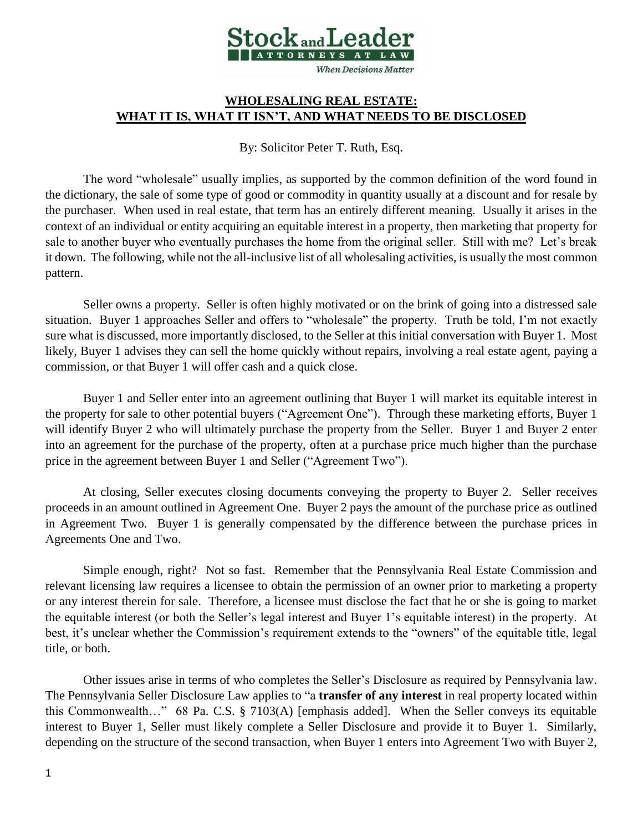

## **WHOLESALING REAL ESTATE: WHAT IT IS, WHAT IT ISN'T, AND WHAT NEEDS TO BE DISCLOSED**

By: Solicitor Peter T. Ruth, Esq.

The word "wholesale" usually implies, as supported by the common definition of the word found in the dictionary, the sale of some type of good or commodity in quantity usually at a discount and for resale by the purchaser. When used in real estate, that term has an entirely different meaning. Usually it arises in the context of an individual or entity acquiring an equitable interest in a property, then marketing that property for sale to another buyer who eventually purchases the home from the original seller. Still with me? Let's break it down. The following, while not the all-inclusive list of all wholesaling activities, is usually the most common pattern.

Seller owns a property. Seller is often highly motivated or on the brink of going into a distressed sale situation. Buyer 1 approaches Seller and offers to "wholesale" the property. Truth be told, I'm not exactly sure what is discussed, more importantly disclosed, to the Seller at this initial conversation with Buyer 1. Most likely, Buyer 1 advises they can sell the home quickly without repairs, involving a real estate agent, paying a commission, or that Buyer 1 will offer cash and a quick close.

Buyer 1 and Seller enter into an agreement outlining that Buyer 1 will market its equitable interest in the property for sale to other potential buyers ("Agreement One"). Through these marketing efforts, Buyer 1 will identify Buyer 2 who will ultimately purchase the property from the Seller. Buyer 1 and Buyer 2 enter into an agreement for the purchase of the property, often at a purchase price much higher than the purchase price in the agreement between Buyer 1 and Seller ("Agreement Two").

At closing, Seller executes closing documents conveying the property to Buyer 2. Seller receives proceeds in an amount outlined in Agreement One. Buyer 2 pays the amount of the purchase price as outlined in Agreement Two. Buyer 1 is generally compensated by the difference between the purchase prices in Agreements One and Two.

Simple enough, right? Not so fast. Remember that the Pennsylvania Real Estate Commission and relevant licensing law requires a licensee to obtain the permission of an owner prior to marketing a property or any interest therein for sale. Therefore, a licensee must disclose the fact that he or she is going to market the equitable interest (or both the Seller's legal interest and Buyer 1's equitable interest) in the property. At best, it's unclear whether the Commission's requirement extends to the "owners" of the equitable title, legal title, or both.

Other issues arise in terms of who completes the Seller's Disclosure as required by Pennsylvania law. The Pennsylvania Seller Disclosure Law applies to "a **transfer of any interest** in real property located within this Commonwealth…" 68 Pa. C.S. § 7103(A) [emphasis added]. When the Seller conveys its equitable interest to Buyer 1, Seller must likely complete a Seller Disclosure and provide it to Buyer 1. Similarly, depending on the structure of the second transaction, when Buyer 1 enters into Agreement Two with Buyer 2,